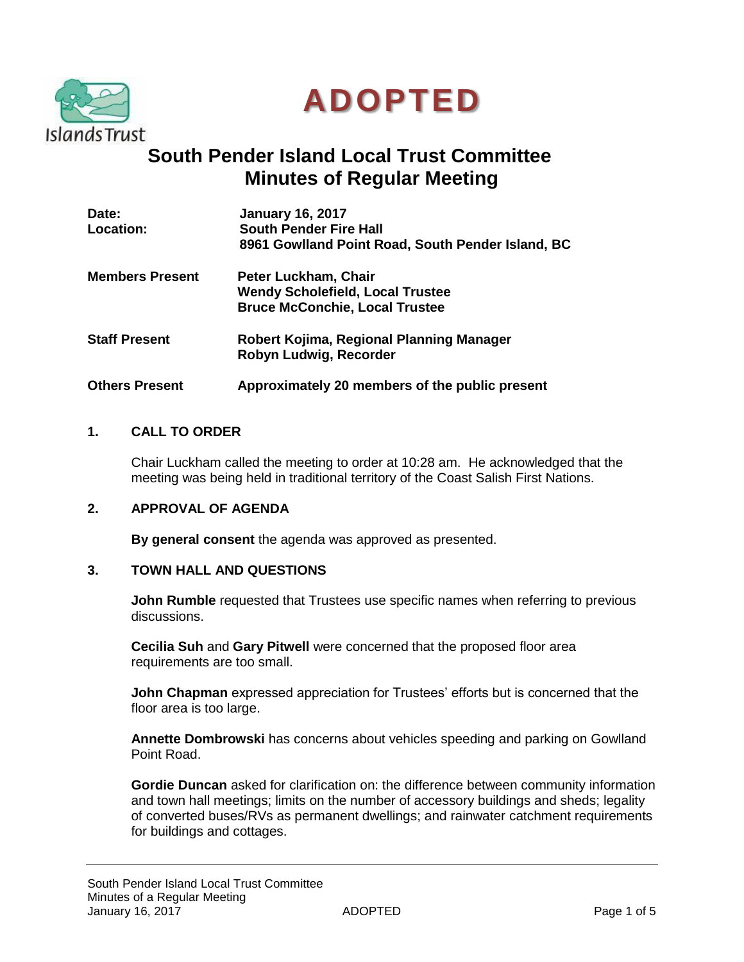



# **South Pender Island Local Trust Committee Minutes of Regular Meeting**

| Date:<br><b>Location:</b> | <b>January 16, 2017</b><br><b>South Pender Fire Hall</b> |
|---------------------------|----------------------------------------------------------|
|                           | 8961 Gowlland Point Road, South Pender Island, BC        |
| <b>Members Present</b>    | Peter Luckham, Chair                                     |
|                           | <b>Wendy Scholefield, Local Trustee</b>                  |
|                           | <b>Bruce McConchie, Local Trustee</b>                    |
| <b>Staff Present</b>      | Robert Kojima, Regional Planning Manager                 |
|                           | Robyn Ludwig, Recorder                                   |
| <b>Others Present</b>     | Approximately 20 members of the public present           |

## **1. CALL TO ORDER**

Chair Luckham called the meeting to order at 10:28 am. He acknowledged that the meeting was being held in traditional territory of the Coast Salish First Nations.

## **2. APPROVAL OF AGENDA**

**By general consent** the agenda was approved as presented.

## **3. TOWN HALL AND QUESTIONS**

**John Rumble** requested that Trustees use specific names when referring to previous discussions.

**Cecilia Suh** and **Gary Pitwell** were concerned that the proposed floor area requirements are too small.

**John Chapman** expressed appreciation for Trustees' efforts but is concerned that the floor area is too large.

**Annette Dombrowski** has concerns about vehicles speeding and parking on Gowlland Point Road.

**Gordie Duncan** asked for clarification on: the difference between community information and town hall meetings; limits on the number of accessory buildings and sheds; legality of converted buses/RVs as permanent dwellings; and rainwater catchment requirements for buildings and cottages.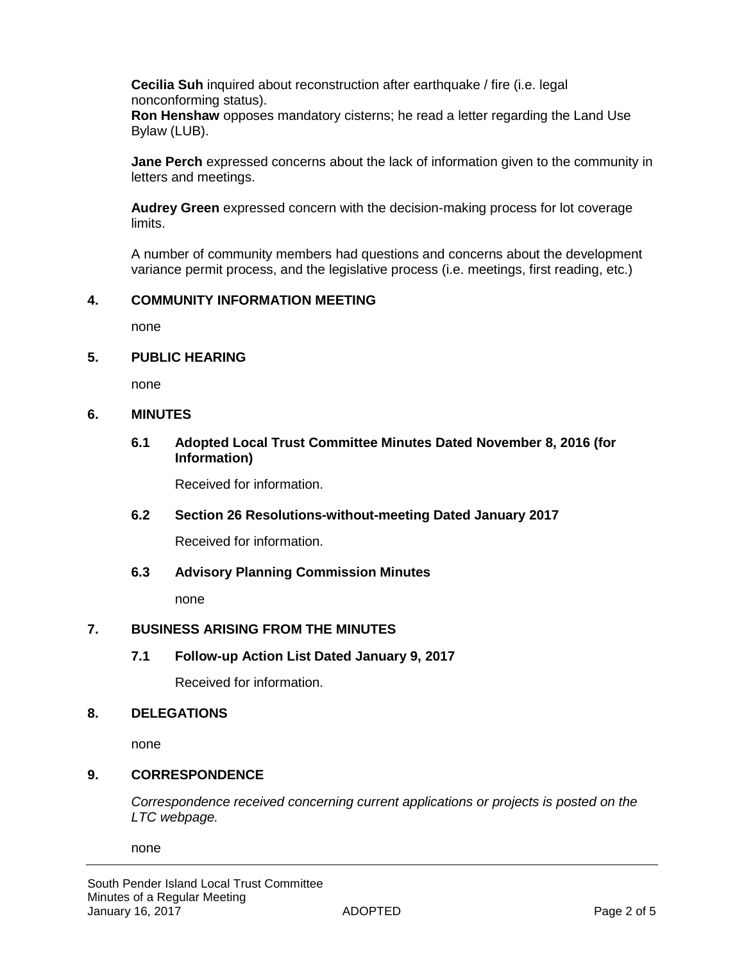**Cecilia Suh** inquired about reconstruction after earthquake / fire (i.e. legal nonconforming status).

**Ron Henshaw** opposes mandatory cisterns; he read a letter regarding the Land Use Bylaw (LUB).

**Jane Perch** expressed concerns about the lack of information given to the community in letters and meetings.

**Audrey Green** expressed concern with the decision-making process for lot coverage limits.

A number of community members had questions and concerns about the development variance permit process, and the legislative process (i.e. meetings, first reading, etc.)

## **4. COMMUNITY INFORMATION MEETING**

none

## **5. PUBLIC HEARING**

none

## **6. MINUTES**

**6.1 Adopted Local Trust Committee Minutes Dated November 8, 2016 (for Information)**

Received for information.

## **6.2 Section 26 Resolutions-without-meeting Dated January 2017**

Received for information.

## **6.3 Advisory Planning Commission Minutes**

none

# **7. BUSINESS ARISING FROM THE MINUTES**

## **7.1 Follow-up Action List Dated January 9, 2017**

Received for information.

#### **8. DELEGATIONS**

none

## **9. CORRESPONDENCE**

*Correspondence received concerning current applications or projects is posted on the LTC webpage.*

none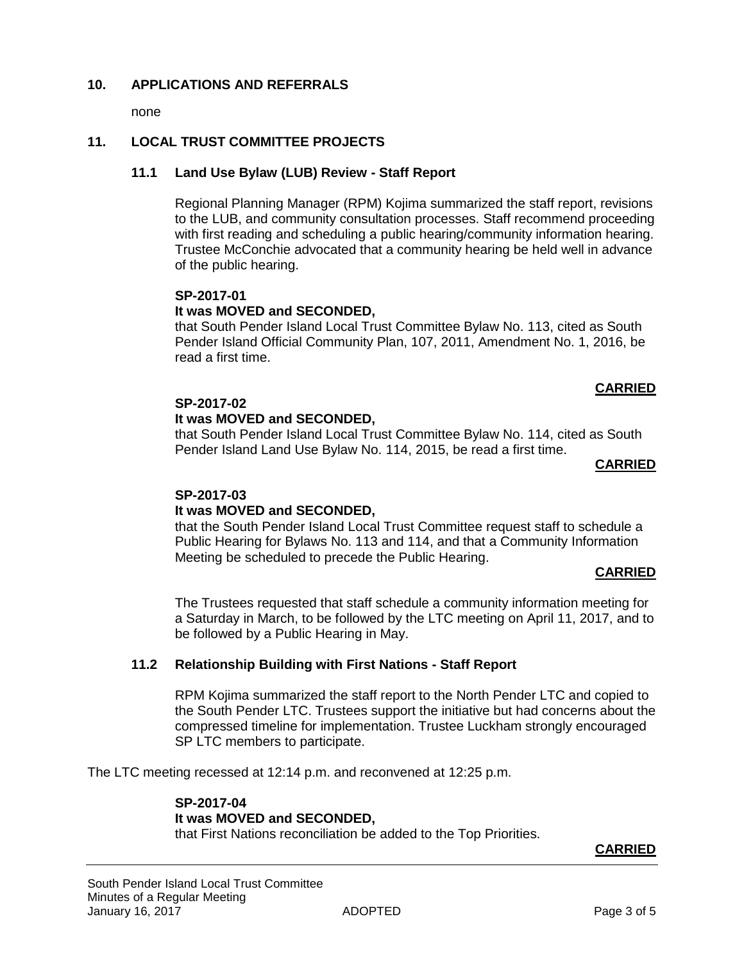## **10. APPLICATIONS AND REFERRALS**

none

## **11. LOCAL TRUST COMMITTEE PROJECTS**

#### **11.1 Land Use Bylaw (LUB) Review - Staff Report**

Regional Planning Manager (RPM) Kojima summarized the staff report, revisions to the LUB, and community consultation processes. Staff recommend proceeding with first reading and scheduling a public hearing/community information hearing. Trustee McConchie advocated that a community hearing be held well in advance of the public hearing.

#### **SP-2017-01**

## **It was MOVED and SECONDED,**

that South Pender Island Local Trust Committee Bylaw No. 113, cited as South Pender Island Official Community Plan, 107, 2011, Amendment No. 1, 2016, be read a first time.

#### **CARRIED**

#### **SP-2017-02**

## **It was MOVED and SECONDED,**

that South Pender Island Local Trust Committee Bylaw No. 114, cited as South Pender Island Land Use Bylaw No. 114, 2015, be read a first time.

#### **CARRIED**

#### **SP-2017-03**

#### **It was MOVED and SECONDED,**

that the South Pender Island Local Trust Committee request staff to schedule a Public Hearing for Bylaws No. 113 and 114, and that a Community Information Meeting be scheduled to precede the Public Hearing.

#### **CARRIED**

The Trustees requested that staff schedule a community information meeting for a Saturday in March, to be followed by the LTC meeting on April 11, 2017, and to be followed by a Public Hearing in May.

#### **11.2 Relationship Building with First Nations - Staff Report**

RPM Kojima summarized the staff report to the North Pender LTC and copied to the South Pender LTC. Trustees support the initiative but had concerns about the compressed timeline for implementation. Trustee Luckham strongly encouraged SP LTC members to participate.

The LTC meeting recessed at 12:14 p.m. and reconvened at 12:25 p.m.

# **SP-2017-04 It was MOVED and SECONDED,**

that First Nations reconciliation be added to the Top Priorities.

#### **CARRIED**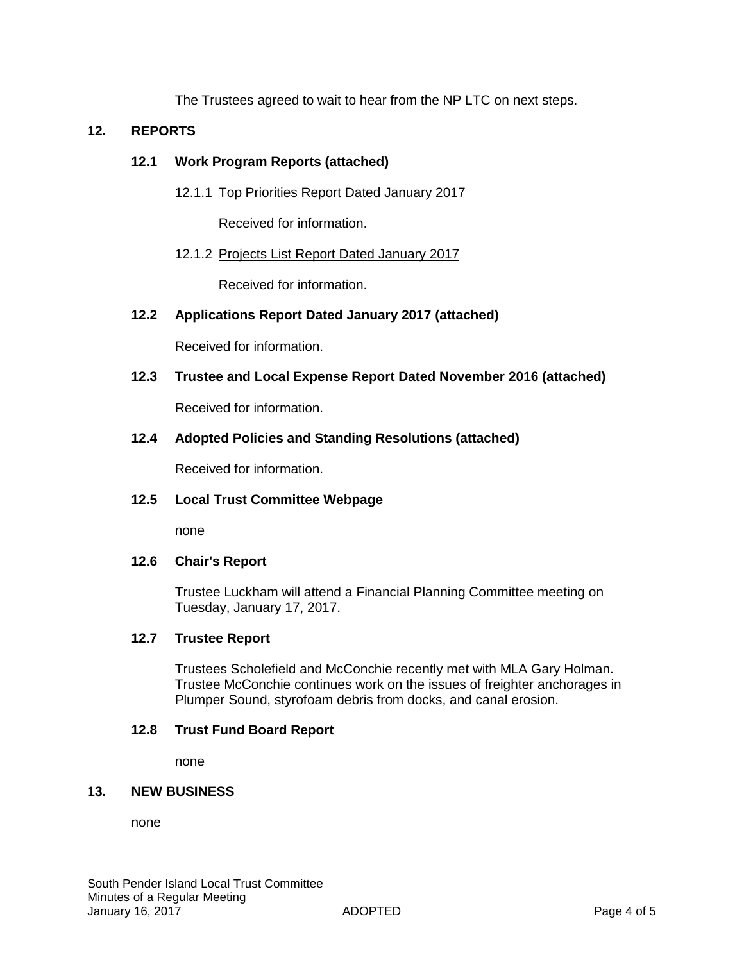The Trustees agreed to wait to hear from the NP LTC on next steps.

# **12. REPORTS**

#### **12.1 Work Program Reports (attached)**

12.1.1 Top Priorities Report Dated January 2017

Received for information.

## 12.1.2 Projects List Report Dated January 2017

Received for information.

## **12.2 Applications Report Dated January 2017 (attached)**

Received for information.

**12.3 Trustee and Local Expense Report Dated November 2016 (attached)**

Received for information.

## **12.4 Adopted Policies and Standing Resolutions (attached)**

Received for information.

## **12.5 Local Trust Committee Webpage**

none

## **12.6 Chair's Report**

Trustee Luckham will attend a Financial Planning Committee meeting on Tuesday, January 17, 2017.

#### **12.7 Trustee Report**

Trustees Scholefield and McConchie recently met with MLA Gary Holman. Trustee McConchie continues work on the issues of freighter anchorages in Plumper Sound, styrofoam debris from docks, and canal erosion.

#### **12.8 Trust Fund Board Report**

none

## **13. NEW BUSINESS**

none